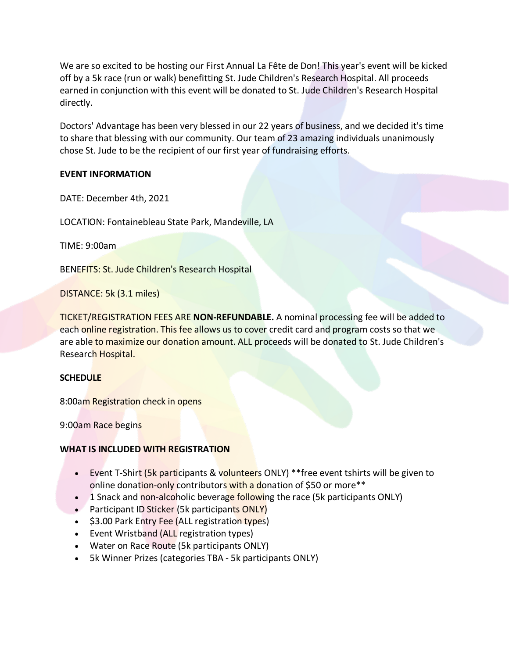We are so excited to be hosting our First Annual La Fête de Don! This year's event will be kicked off by a 5k race (run or walk) benefitting St. Jude Children's Research Hospital. All proceeds earned in conjunction with this event will be donated to St. Jude Children's Research Hospital directly.

Doctors' Advantage has been very blessed in our 22 years of business, and we decided it's time to share that blessing with our community. Our team of 23 amazing individuals unanimously chose St. Jude to be the recipient of our first year of fundraising efforts.

# **EVENT INFORMATION**

DATE: December 4th, 2021

LOCATION: Fontainebleau State Park, Mandeville, LA

TIME: 9:00am

BENEFITS: St. Jude Children's Research Hospital

DISTANCE: 5k (3.1 miles)

TICKET/REGISTRATION FEES ARE **NON-REFUNDABLE.** A nominal processing fee will be added to each online registration. This fee allows us to cover credit card and program costs so that we are able to maximize our donation amount. ALL proceeds will be donated to St. Jude Children's Research Hospital.

# **SCHEDULE**

8:00am Registration check in opens

9:00am Race begins

# **WHAT IS INCLUDED WITH REGISTRATION**

- Event T-Shirt (5k participants & volunteers ONLY) \*\* free event tshirts will be given to online donation-only contributors with a donation of \$50 or more\*\*
- 1 Snack and non-alcoholic beverage following the race (5k participants ONLY)
- Participant ID Sticker (5k participants ONLY)
- \$3.00 Park Entry Fee (ALL registration types)
- Event Wristband (ALL registration types)
- Water on Race Route (5k participants ONLY)
- 5k Winner Prizes (categories TBA 5k participants ONLY)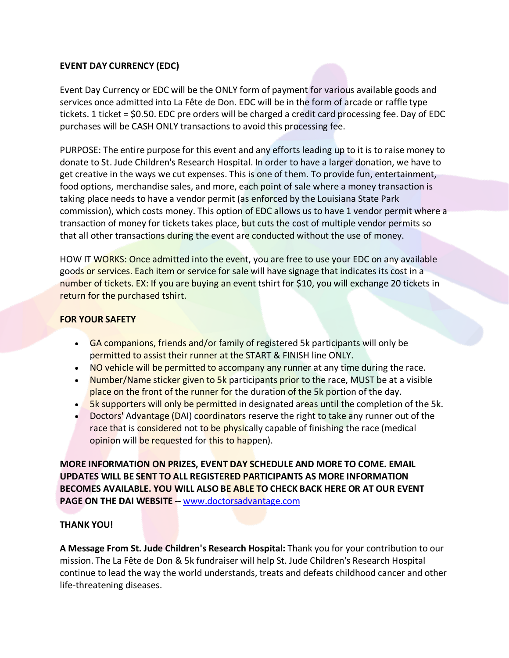# **EVENT DAY CURRENCY (EDC)**

Event Day Currency or EDC will be the ONLY form of payment for various available goods and services once admitted into La Fête de Don. EDC will be in the form of arcade or raffle type tickets. 1 ticket = \$0.50. EDC pre orders will be charged a credit card processing fee. Day of EDC purchases will be CASH ONLY transactions to avoid this processing fee.

PURPOSE: The entire purpose for this event and any efforts leading up to it is to raise money to donate to St. Jude Children's Research Hospital. In order to have a larger donation, we have to get creative in the ways we cut expenses. This is one of them. To provide fun, entertainment, food options, merchandise sales, and more, each point of sale where a money transaction is taking place needs to have a vendor permit (as enforced by the Louisiana State Park commission), which costs money. This option of EDC allows us to have 1 vendor permit where a transaction of money for tickets takes place, but cuts the cost of multiple vendor permits so that all other transactions during the event are conducted without the use of money.

HOW IT WORKS: Once admitted into the event, you are free to use your EDC on any available goods or services. Each item or service for sale will have signage that indicates its cost in a number of tickets. EX: If you are buying an event tshirt for \$10, you will exchange 20 tickets in return for the purchased tshirt.

# **FOR YOUR SAFETY**

- GA companions, friends and/or family of registered 5k participants will only be permitted to assist their runner at the START & FINISH line ONLY.
- NO vehicle will be permitted to accompany any runner at any time during the race.
- Number/Name sticker given to 5k participants prior to the race, MUST be at a visible place on the front of the runner for the duration of the 5k portion of the day.
- **5k supporters will only be permitted** in designated areas until the completion of the 5k.
- Doctors' Advantage (DAI) coordinators reserve the right to take any runner out of the race that is considered not to be physically capable of finishing the race (medical opinion will be requested for this to happen).

**MORE INFORMATION ON PRIZES, EVENT DAY SCHEDULE AND MORE TO COME. EMAIL UPDATES WILL BE SENT TO ALL REGISTERED PARTICIPANTS AS MORE INFORMATION BECOMES AVAILABLE. YOU WILL ALSO BE ABLE TO CHECK BACK HERE OR AT OUR EVENT PAGE ON THE DAI WEBSITE --** [www.doctorsadvantage.com](https://www.doctorsadvantage.com/)

# **THANK YOU!**

**A Message From St. Jude Children's Research Hospital:** Thank you for your contribution to our mission. The La Fête de Don & 5k fundraiser will help St. Jude Children's Research Hospital continue to lead the way the world understands, treats and defeats childhood cancer and other life-threatening diseases.